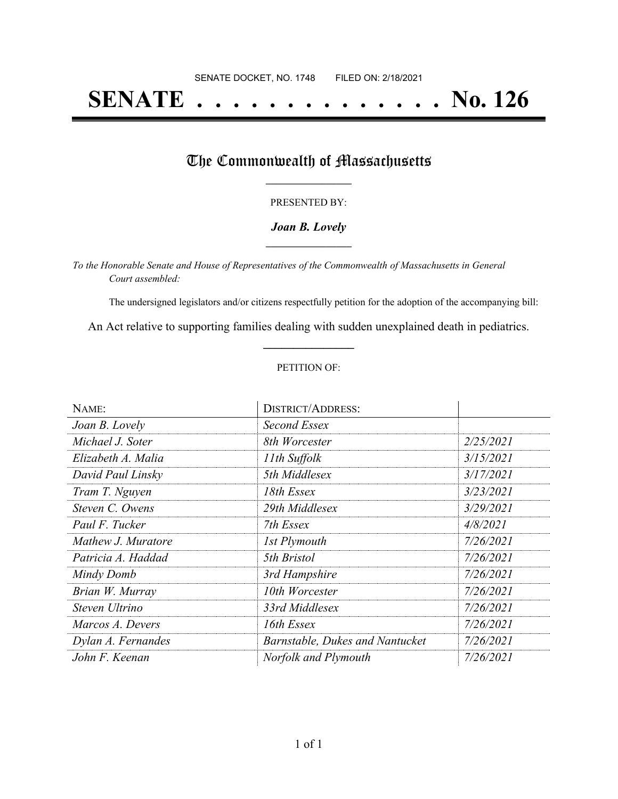# **SENATE . . . . . . . . . . . . . . No. 126**

### The Commonwealth of Massachusetts

#### PRESENTED BY:

#### *Joan B. Lovely* **\_\_\_\_\_\_\_\_\_\_\_\_\_\_\_\_\_**

*To the Honorable Senate and House of Representatives of the Commonwealth of Massachusetts in General Court assembled:*

The undersigned legislators and/or citizens respectfully petition for the adoption of the accompanying bill:

An Act relative to supporting families dealing with sudden unexplained death in pediatrics. **\_\_\_\_\_\_\_\_\_\_\_\_\_\_\_**

#### PETITION OF:

| NAME:              | <b>DISTRICT/ADDRESS:</b>        |           |
|--------------------|---------------------------------|-----------|
| Joan B. Lovely     | Second Essex                    |           |
| Michael J. Soter   | 8th Worcester                   | 2/25/2021 |
| Elizabeth A. Malia | 11th Suffolk                    | 3/15/2021 |
| David Paul Linsky  | 5th Middlesex                   | 3/17/2021 |
| Tram T. Nguyen     | 18th Essex                      | 3/23/2021 |
| Steven C. Owens    | 29th Middlesex                  | 3/29/2021 |
| Paul F. Tucker     | 7th Essex                       | 4/8/2021  |
| Mathew J. Muratore | 1st Plymouth                    | 7/26/2021 |
| Patricia A. Haddad | 5th Bristol                     | 7/26/2021 |
| Mindy Domb         | 3rd Hampshire                   | 7/26/2021 |
| Brian W. Murray    | 10th Worcester                  | 7/26/2021 |
| Steven Ultrino     | 33rd Middlesex                  | 7/26/2021 |
| Marcos A. Devers   | 16th Essex                      | 7/26/2021 |
| Dylan A. Fernandes | Barnstable, Dukes and Nantucket | 7/26/2021 |
| John F. Keenan     | Norfolk and Plymouth            | 7/26/2021 |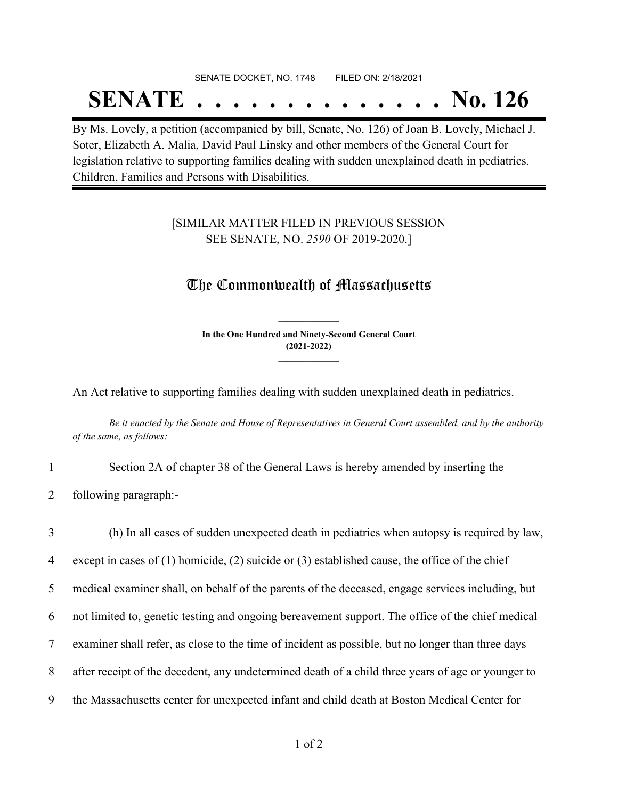# SENATE DOCKET, NO. 1748 FILED ON: 2/18/2021 **SENATE . . . . . . . . . . . . . . No. 126**

By Ms. Lovely, a petition (accompanied by bill, Senate, No. 126) of Joan B. Lovely, Michael J. Soter, Elizabeth A. Malia, David Paul Linsky and other members of the General Court for legislation relative to supporting families dealing with sudden unexplained death in pediatrics. Children, Families and Persons with Disabilities.

#### [SIMILAR MATTER FILED IN PREVIOUS SESSION SEE SENATE, NO. *2590* OF 2019-2020.]

## The Commonwealth of Massachusetts

**In the One Hundred and Ninety-Second General Court (2021-2022) \_\_\_\_\_\_\_\_\_\_\_\_\_\_\_**

**\_\_\_\_\_\_\_\_\_\_\_\_\_\_\_**

An Act relative to supporting families dealing with sudden unexplained death in pediatrics.

Be it enacted by the Senate and House of Representatives in General Court assembled, and by the authority *of the same, as follows:*

- 1 Section 2A of chapter 38 of the General Laws is hereby amended by inserting the
- 2 following paragraph:-

 (h) In all cases of sudden unexpected death in pediatrics when autopsy is required by law, except in cases of (1) homicide, (2) suicide or (3) established cause, the office of the chief medical examiner shall, on behalf of the parents of the deceased, engage services including, but not limited to, genetic testing and ongoing bereavement support. The office of the chief medical examiner shall refer, as close to the time of incident as possible, but no longer than three days after receipt of the decedent, any undetermined death of a child three years of age or younger to the Massachusetts center for unexpected infant and child death at Boston Medical Center for